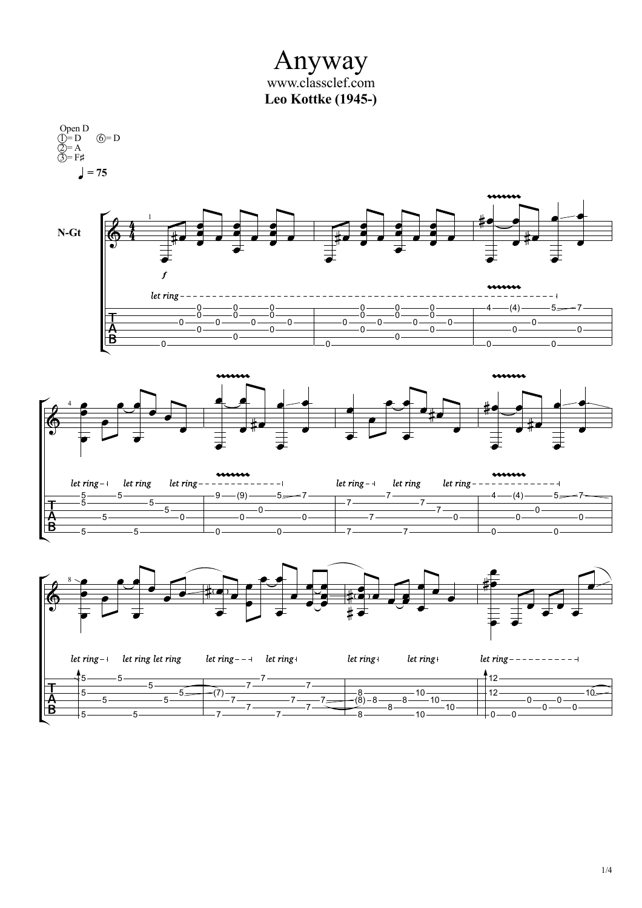Anyway www.classclef.com **Leo Kottke (1945-)**

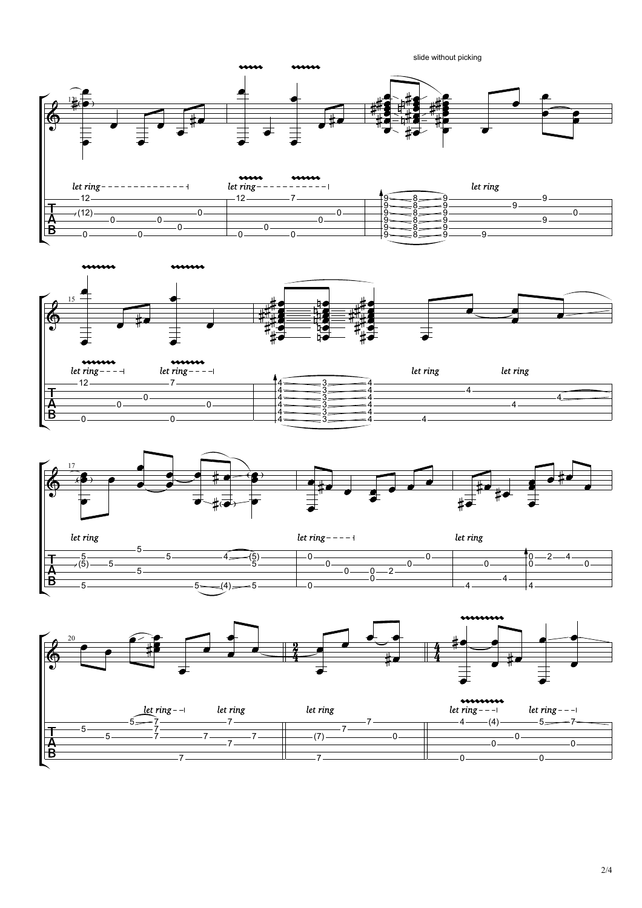



 $\frac{4}{-}$   $\frac{3}{-}$  $4 \longrightarrow 3 \longrightarrow$ 

 $3 - 4$  $3 \overline{\phantom{1}} \overline{\phantom{1}} 4 \overline{\phantom{1}}$ 

 $\frac{4}{ }$   $\frac{2}{ }$   $\frac{4}{ }$   $\frac{2}{ }$   $\frac{4}{ }$   $\frac{4}{ }$   $\frac{4}{ }$   $\frac{4}{ }$   $\frac{4}{ }$   $\frac{4}{ }$   $\frac{4}{ }$   $\frac{4}{ }$   $\frac{4}{ }$   $\frac{4}{ }$   $\frac{4}{ }$   $\frac{4}{ }$   $\frac{4}{ }$   $\frac{4}{ }$   $\frac{4}{ }$   $\frac{4}{ }$   $\frac{4}{ }$   $\frac{4}{ }$   $\frac{4}{ }$   $\frac{4}{ }$   $\frac{4$ 

 $\overline{4}$   $\overline{\phantom{27}4}$   $\overline{\phantom{27}4}$ 

 $\begin{array}{c} \hline \rule{0mm}{2mm} \rule[0mm]{0mm}{2mm} \rule[0mm]{0mm}{2mm} \rule[0mm]{0mm}{2mm} \rule[0mm]{0mm}{2mm} \rule[0mm]{0mm}{2mm} \rule[0mm]{0mm}{2mm} \rule[0mm]{0mm}{2mm} \rule[0mm]{0mm}{2mm} \rule[0mm]{0mm}{2mm} \rule[0mm]{0mm}{2mm} \rule[0mm]{0mm}{2mm} \rule[0mm]{0mm}{2mm} \rule[0mm]{0mm}{2mm} \rule[0mm]{0mm}{2mm} \rule[0mm]{0mm}{2mm} \rule[0mm]{0mm}{2mm} \rule[0mm]{0mm}{$ 

 $\begin{array}{c} \hline \rule{0mm}{2mm} \rule[0mm]{0mm}{2mm} \rule[0mm]{0mm}{2mm} \rule[0mm]{0mm}{2mm} \rule[0mm]{0mm}{2mm} \rule[0mm]{0mm}{2mm} \rule[0mm]{0mm}{2mm} \rule[0mm]{0mm}{2mm} \rule[0mm]{0mm}{2mm} \rule[0mm]{0mm}{2mm} \rule[0mm]{0mm}{2mm} \rule[0mm]{0mm}{2mm} \rule[0mm]{0mm}{2mm} \rule[0mm]{0mm}{2mm} \rule[0mm]{0mm}{2mm} \rule[0mm]{0mm}{2mm} \rule[0mm]{0mm}{2mm} \rule[0mm]{0mm}{$ 



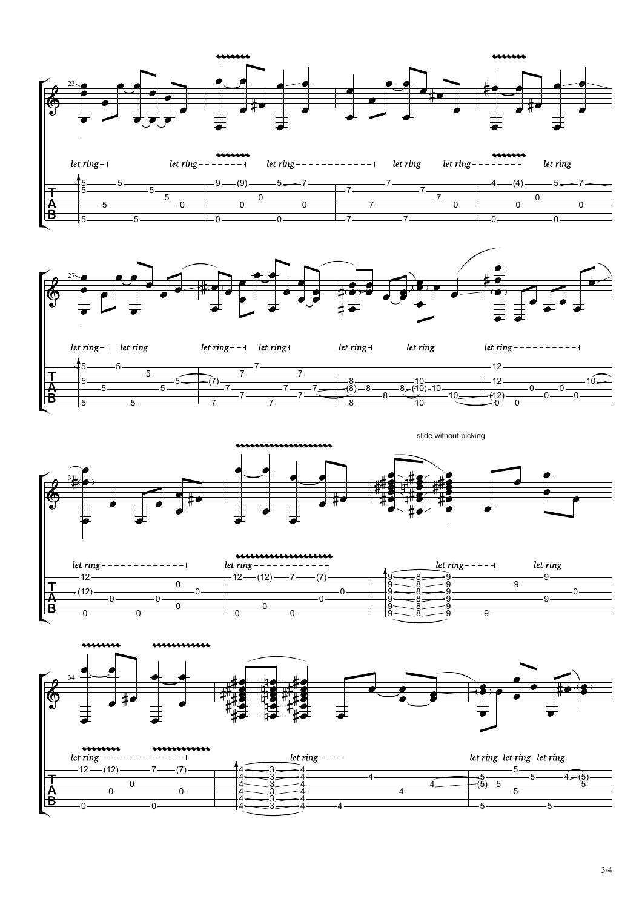